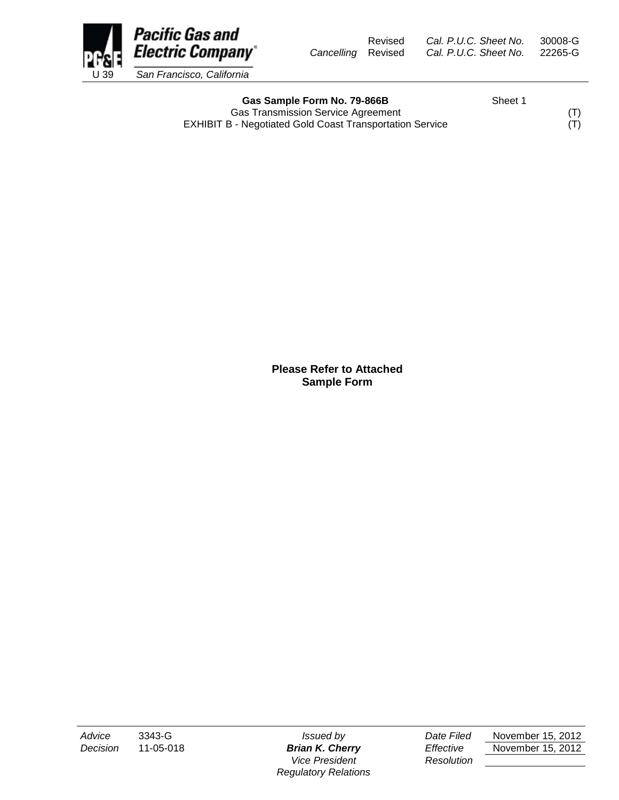

Gas Sample Form No. 79-866B Sheet 1 Gas Transmission Service Agreement (T)<br>3 - Negotiated Gold Coast Transportation Service (T) EXHIBIT B - Negotiated Gold Coast Transportation Service

**Please Refer to Attached Sample Form**

*Vice President Resolution Regulatory Relations*

*Advice* 3343-G *Issued by Date Filed* November 15, 2012 *Decision* 11-05-018 *Brian K. Cherry Effective* November 15, 2012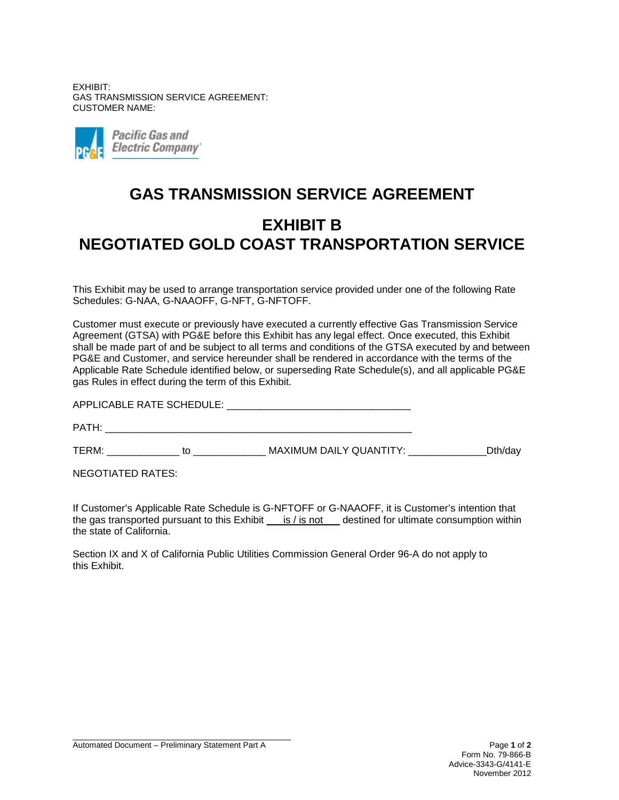EXHIBIT: GAS TRANSMISSION SERVICE AGREEMENT: CUSTOMER NAME:



## **GAS TRANSMISSION SERVICE AGREEMENT EXHIBIT B NEGOTIATED GOLD COAST TRANSPORTATION SERVICE**

This Exhibit may be used to arrange transportation service provided under one of the following Rate Schedules: G-NAA, G-NAAOFF, G-NFT, G-NFTOFF.

Customer must execute or previously have executed a currently effective Gas Transmission Service Agreement (GTSA) with PG&E before this Exhibit has any legal effect. Once executed, this Exhibit shall be made part of and be subject to all terms and conditions of the GTSA executed by and between PG&E and Customer, and service hereunder shall be rendered in accordance with the terms of the Applicable Rate Schedule identified below, or superseding Rate Schedule(s), and all applicable PG&E gas Rules in effect during the term of this Exhibit.

APPLICABLE RATE SCHEDULE: \_\_\_\_\_\_\_\_\_\_\_\_\_\_\_\_\_\_\_\_\_\_\_\_\_\_\_\_\_\_\_\_\_ PATH:  $\blacksquare$ TERM: \_\_\_\_\_\_\_\_\_\_\_\_\_ to \_\_\_\_\_\_\_\_\_\_\_\_\_ MAXIMUM DAILY QUANTITY: \_\_\_\_\_\_\_\_\_\_\_\_\_\_Dth/day

NEGOTIATED RATES:

If Customer's Applicable Rate Schedule is G-NFTOFF or G-NAAOFF, it is Customer's intention that the gas transported pursuant to this Exhibit  $\_\,$  is / is not  $\_\,$  destined for ultimate consumption within the state of California.

Section IX and X of California Public Utilities Commission General Order 96-A do not apply to this Exhibit.